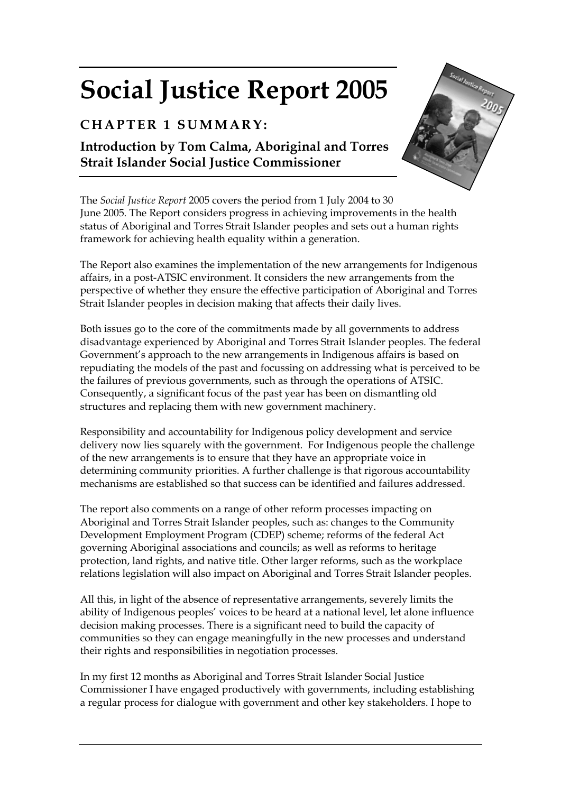## **Social Justice Report 2005**

## **CHAPTER 1 SUMMARY:**

**Introduction by Tom Calma, Aboriginal and Torres Strait Islander Social Justice Commissioner** 



The *Social Justice Report* 2005 covers the period from 1 July 2004 to 30 June 2005. The Report considers progress in achieving improvements in the health status of Aboriginal and Torres Strait Islander peoples and sets out a human rights framework for achieving health equality within a generation.

The Report also examines the implementation of the new arrangements for Indigenous affairs, in a post-ATSIC environment. It considers the new arrangements from the perspective of whether they ensure the effective participation of Aboriginal and Torres Strait Islander peoples in decision making that affects their daily lives.

Both issues go to the core of the commitments made by all governments to address disadvantage experienced by Aboriginal and Torres Strait Islander peoples. The federal Government's approach to the new arrangements in Indigenous affairs is based on repudiating the models of the past and focussing on addressing what is perceived to be the failures of previous governments, such as through the operations of ATSIC. Consequently, a significant focus of the past year has been on dismantling old structures and replacing them with new government machinery.

Responsibility and accountability for Indigenous policy development and service delivery now lies squarely with the government. For Indigenous people the challenge of the new arrangements is to ensure that they have an appropriate voice in determining community priorities. A further challenge is that rigorous accountability mechanisms are established so that success can be identified and failures addressed.

The report also comments on a range of other reform processes impacting on Aboriginal and Torres Strait Islander peoples, such as: changes to the Community Development Employment Program (CDEP) scheme; reforms of the federal Act governing Aboriginal associations and councils; as well as reforms to heritage protection, land rights, and native title. Other larger reforms, such as the workplace relations legislation will also impact on Aboriginal and Torres Strait Islander peoples.

All this, in light of the absence of representative arrangements, severely limits the ability of Indigenous peoples' voices to be heard at a national level, let alone influence decision making processes. There is a significant need to build the capacity of communities so they can engage meaningfully in the new processes and understand their rights and responsibilities in negotiation processes.

In my first 12 months as Aboriginal and Torres Strait Islander Social Justice Commissioner I have engaged productively with governments, including establishing a regular process for dialogue with government and other key stakeholders. I hope to